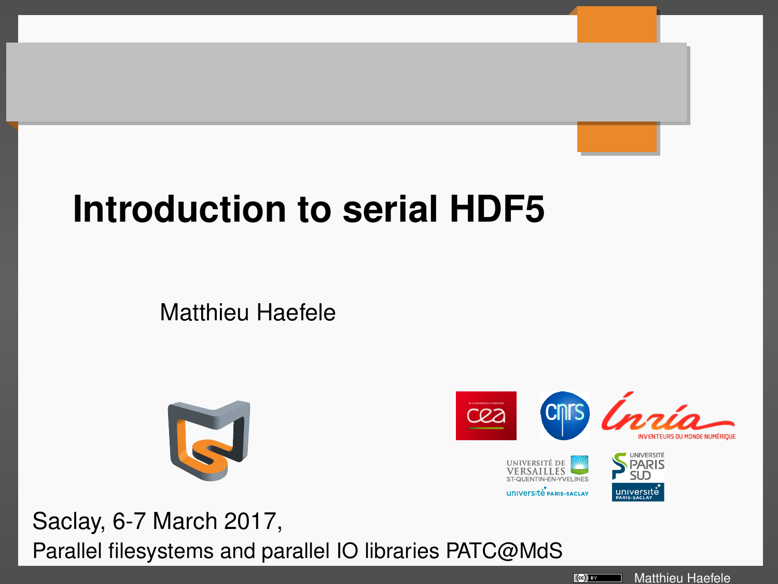# **Introduction to serial HDF5**

Matthieu Haefele





Saclay, 6-7 March 2017, Parallel filesystems and parallel IO libraries PATC@MdS

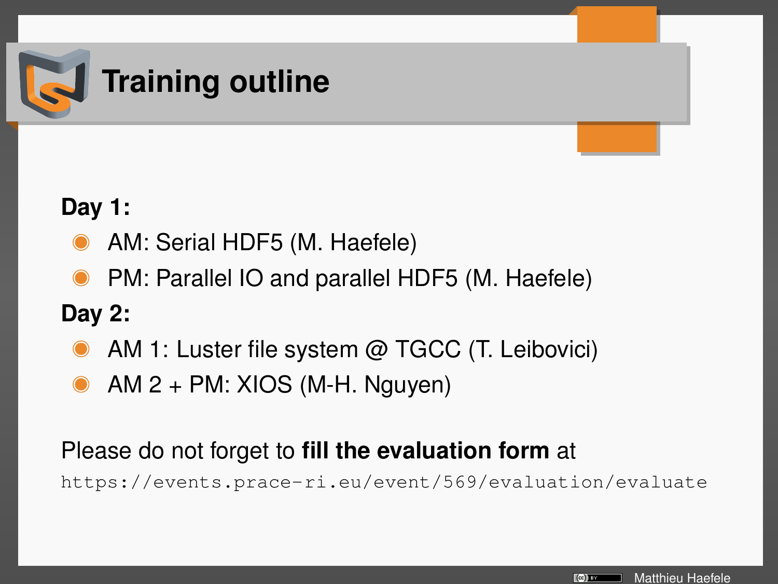

#### **Day 1:**

- AM: Serial HDF5 (M. Haefele)
- PM: Parallel IO and parallel HDF5 (M. Haefele)

#### **Day 2:**

- AM 1: Luster file system @ TGCC (T. Leibovici)
- AM 2 + PM: XIOS (M-H. Nguyen)

#### Please do not forget to **fill the evaluation form** at

<https://events.prace-ri.eu/event/569/evaluation/evaluate>

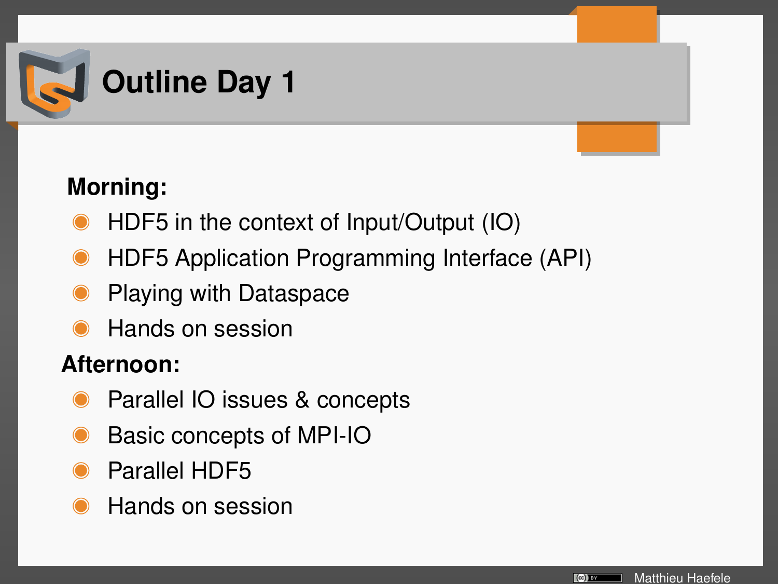

## **Morning:**

- HDF5 in the context of Input/Output (IO)
- HDF5 Application Programming Interface (API)
- Playing with Dataspace
- Hands on session

#### **Afternoon:**

- Parallel IO issues & concepts
- Basic concepts of MPI-IO
- Parallel HDF5
- Hands on session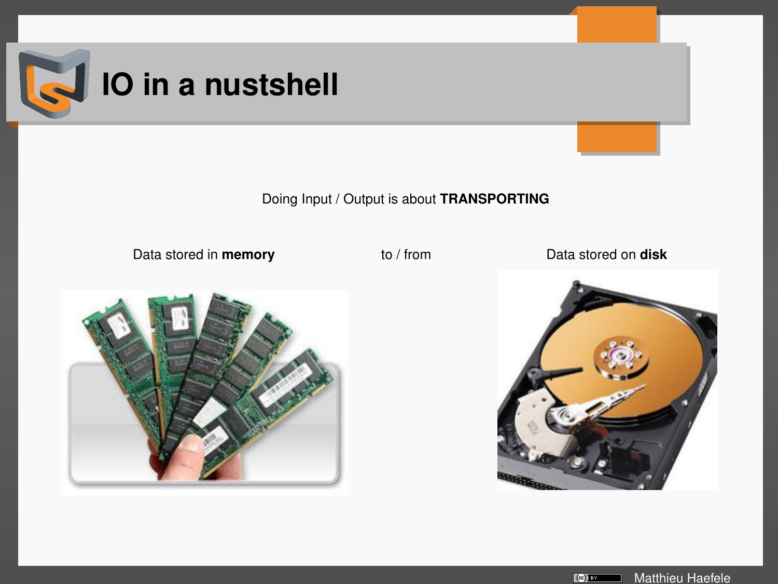

Doing Input / Output is about **TRANSPORTING**

Data stored in **memory** to / from Data stored on **disk**





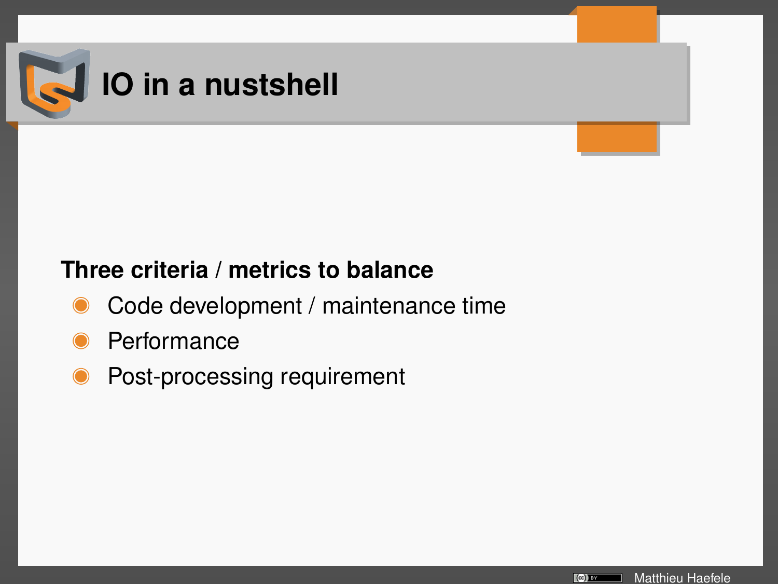

#### **Three criteria / metrics to balance**

- Code development / maintenance time
- **Performance**
- Post-processing requirement

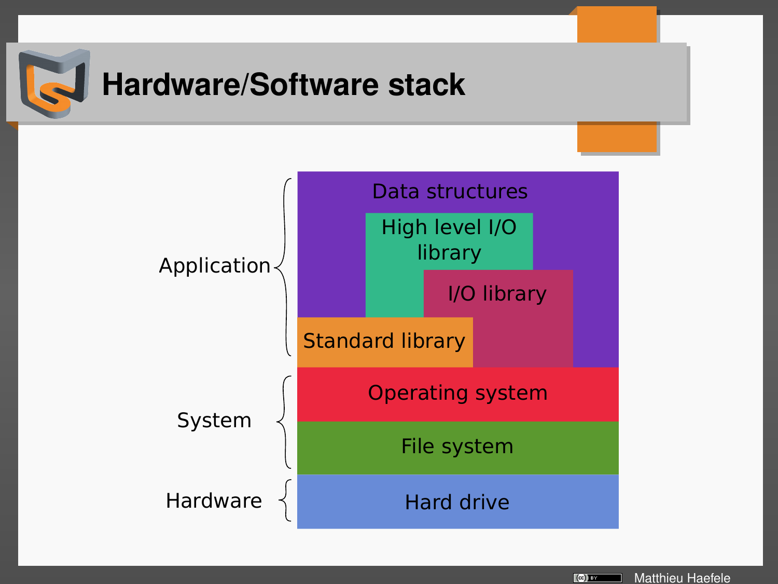

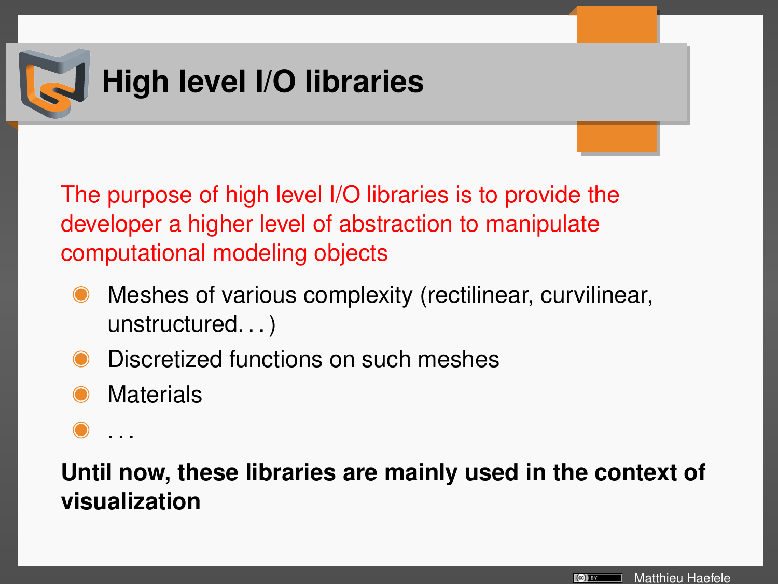

The purpose of high level I/O libraries is to provide the developer a higher level of abstraction to manipulate computational modeling objects

- Meshes of various complexity (rectilinear, curvilinear, unstructured. . . )
- Discretized functions on such meshes
- **Materials**
- . . .

### **Until now, these libraries are mainly used in the context of visualization**

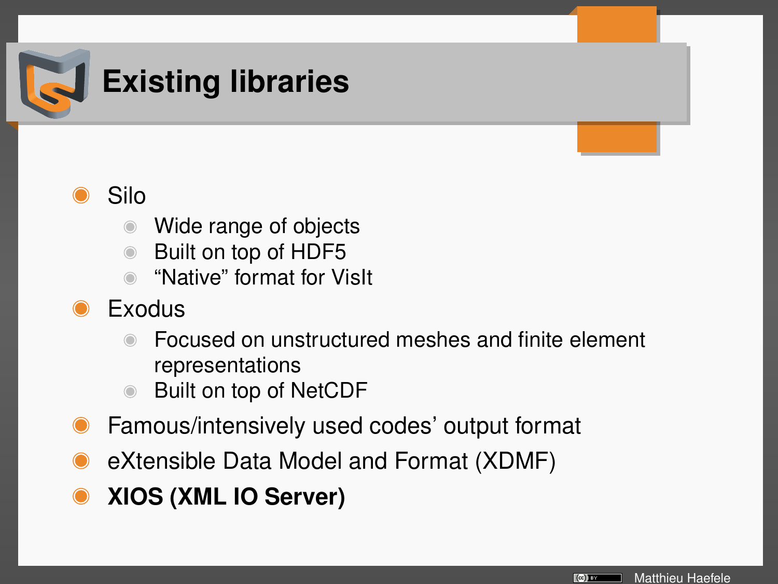

# **Existing libraries**



- Wide range of objects
- Built on top of HDF5
- "Native" format for VisIt
- Exodus
	- Focused on unstructured meshes and finite element representations
	- Built on top of NetCDF
- Famous/intensively used codes' output format
- eXtensible Data Model and Format (XDMF)
- **XIOS (XML IO Server)**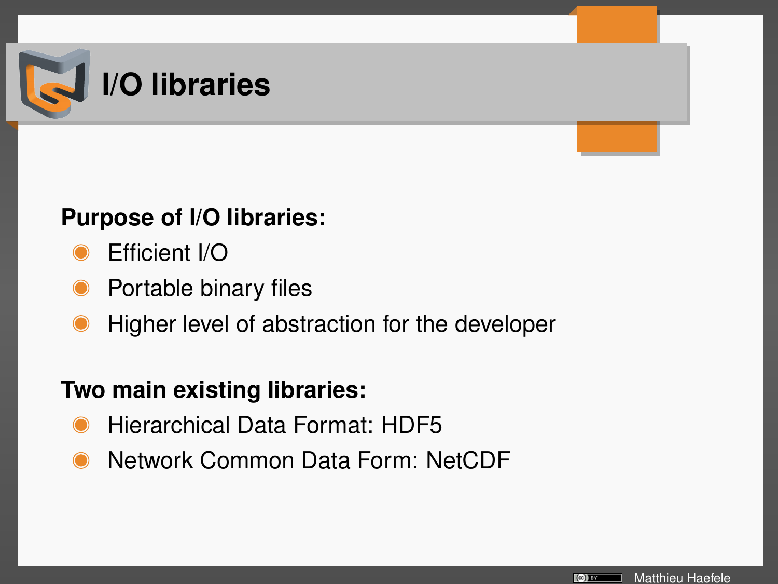

#### **Purpose of I/O libraries:**

- Efficient I/O
- Portable binary files
- Higher level of abstraction for the developer

#### **Two main existing libraries:**

- Hierarchical Data Format: HDF5
- Network Common Data Form: NetCDF

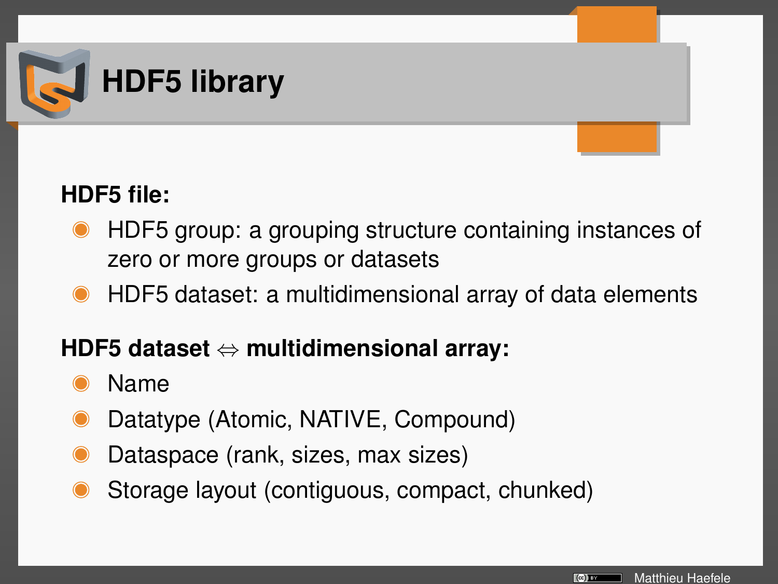

### **HDF5 file:**

- HDF5 group: a grouping structure containing instances of zero or more groups or datasets
- HDF5 dataset: a multidimensional array of data elements

#### **HDF5 dataset** ⇔ **multidimensional array:**

- Name
- Datatype (Atomic, NATIVE, Compound)
- Dataspace (rank, sizes, max sizes)
- Storage layout (contiguous, compact, chunked)

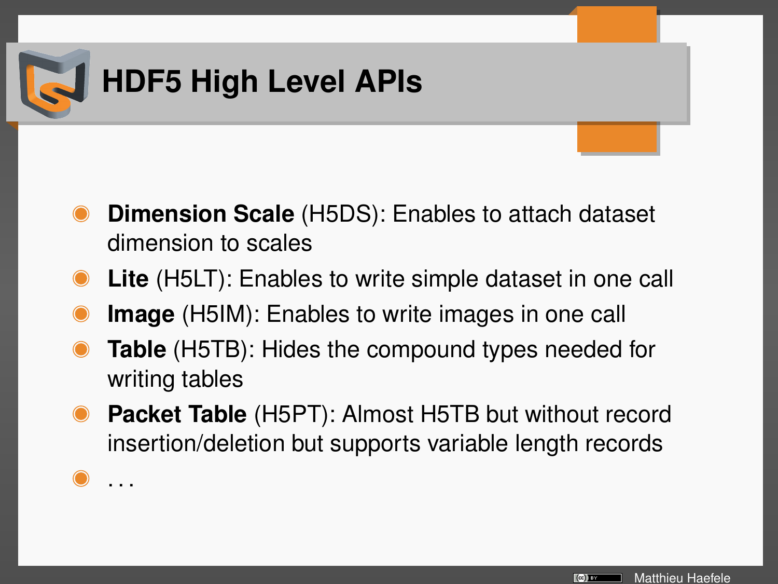

. . .

- **Dimension Scale** (H5DS): Enables to attach dataset dimension to scales
- **Lite** (H5LT): Enables to write simple dataset in one call
- **Image** (H5IM): Enables to write images in one call
- **Table** (H5TB): Hides the compound types needed for writing tables
- **Packet Table** (H5PT): Almost H5TB but without record insertion/deletion but supports variable length records

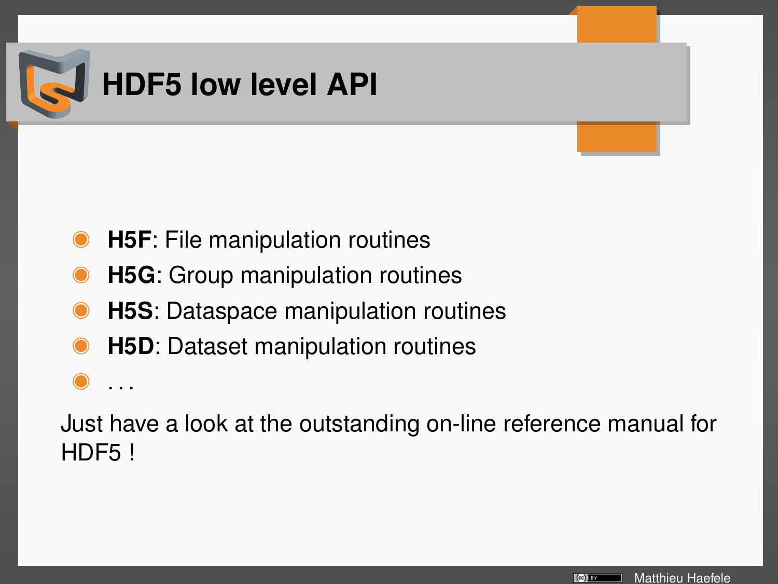

. . .

- **H5F**: File manipulation routines
- **H5G**: Group manipulation routines
- **H5S**: Dataspace manipulation routines
- **H5D**: Dataset manipulation routines

Just have a look at the outstanding on-line reference manual for HDF5 !

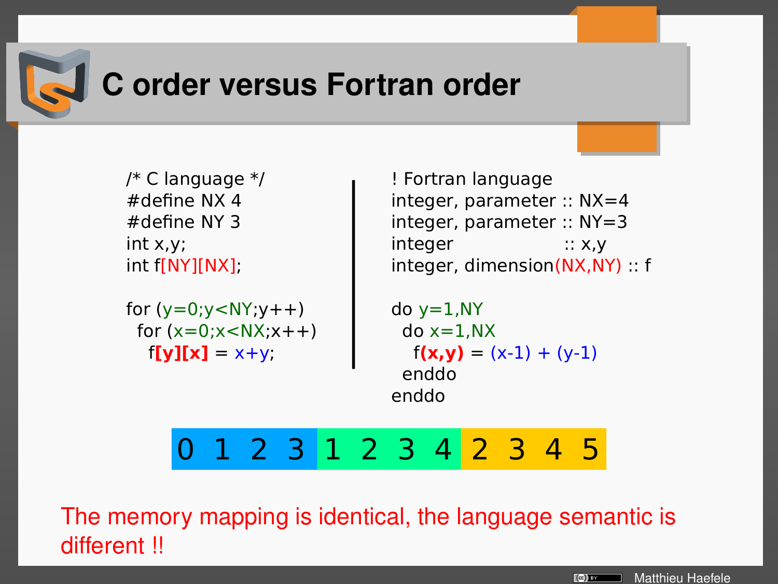

## **C order versus Fortran order**

/\* C language  $*/$ #define NX 4 #define NY 3 int x,y; int f[NY][NX];

for  $(y=0; y < NY; y++)$ for  $(x=0:x<\mathbb{N}x:x++)$  $f[\textbf{v}][\textbf{x}] = x+y;$ 

! Fortran language integer, parameter :: NX=4 integer, parameter :: NY=3 integer :: x,y integer, dimension(NX,NY) :: f

do  $y=1, NY$  $do x=1.NX$  $f(x,y) = (x-1) + (y-1)$  enddo enddo

0 1 2 3 1 2 3 4 2 3 4 5

The memory mapping is identical, the language semantic is different !!

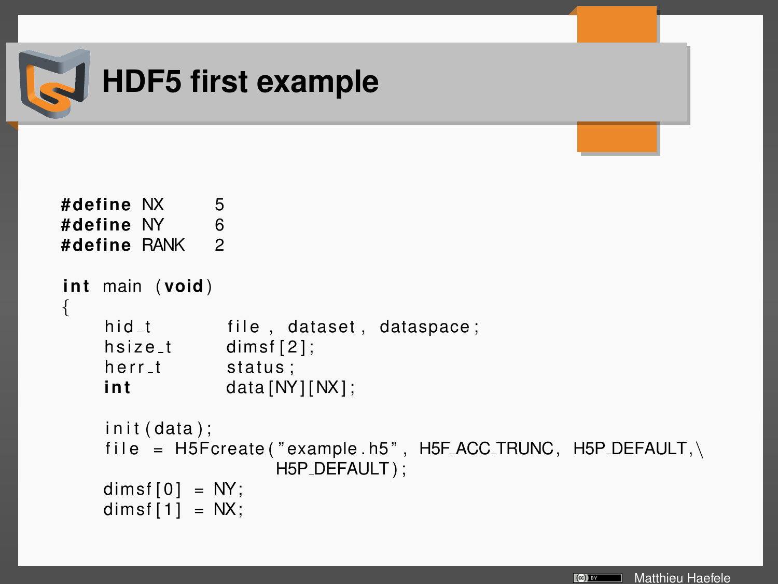

```
#define NX 5
#define NY 6
#define RANK 2
i n t main ( void )
{
    hid<sub>-t</sub> file, dataset, dataspace;
    hsize_t dimsf[2];
    herr_t status;
    int data [NY] [NX];
    init (data);
    file = H5Fcreate("example.h5", H5FACC_TRUNC, H5P_DEFAULT, \n\H5P_DEFAULT);
    dimsf[0] = NY;dimsf[1] = NX;
```
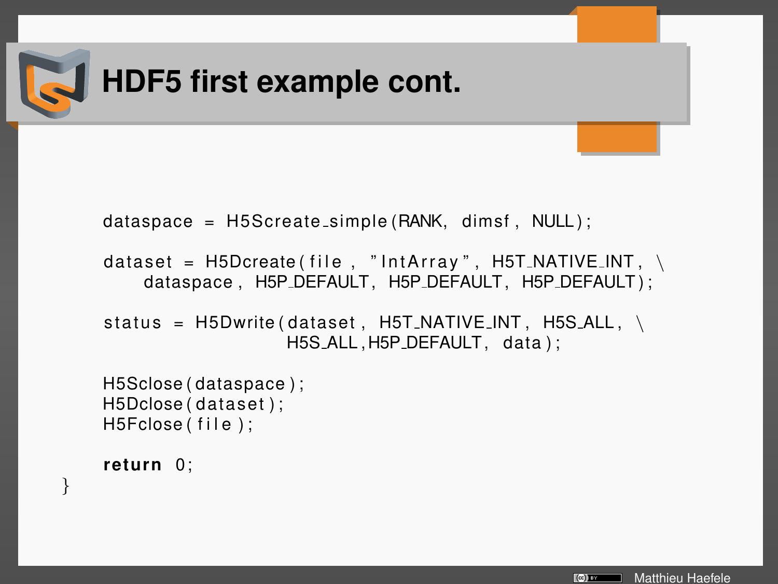

 $dataspace = H5Screate_simple(RANK, dimsf, NULL);$ 

```
dataset = H5D\text{create} (file, "IntArray", H5T\text{NATIVE}. NT, \
    dataspace, H5P_DEFAULT, H5P_DEFAULT, H5P_DEFAULT);
```

```
status = H5Dwrite (dataset, H5T_NATIVE INT, H5S_1ALL, \setminusH5S_ALL, H5P_DEFAULT, data):
```

```
H5Sclose ( dataspace ) ;
H5Dclose ( dataset ) ;
H5Fclose (file);
```

```
return 0;
```
}

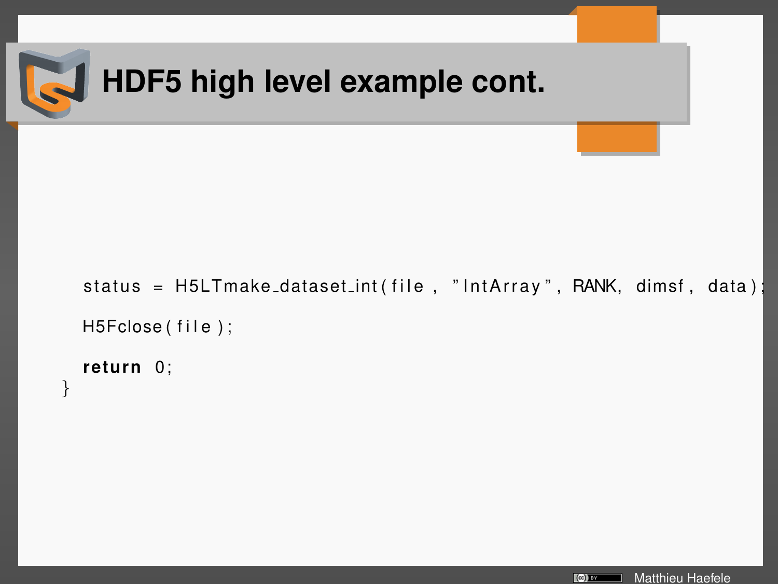```
HDF5 high level example cont.
status = H5LTmake_dataset_int(file, "IntArray", RANK, dimsf, data);
H5Fclose (file);
return 0;
```
}

```
Matthieu Haefele
\left[\left(\infty\right)\right] EV
```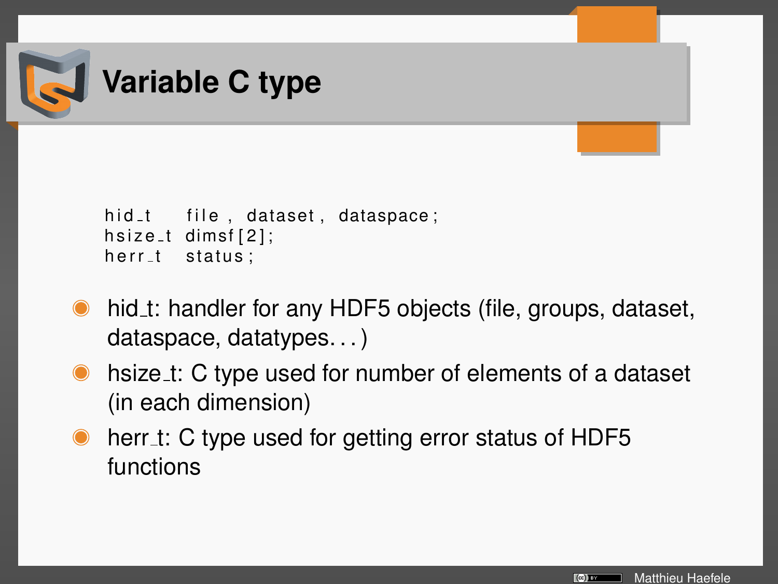

```
hid<sub>-t</sub> file, dataset, dataspace;
hsize_t dimsf[2];
herr_t status;
```
- hid t: handler for any HDF5 objects (file, groups, dataset, dataspace, datatypes. . . )
- hsize t: C type used for number of elements of a dataset (in each dimension)
- herr\_t: C type used for getting error status of HDF5 functions

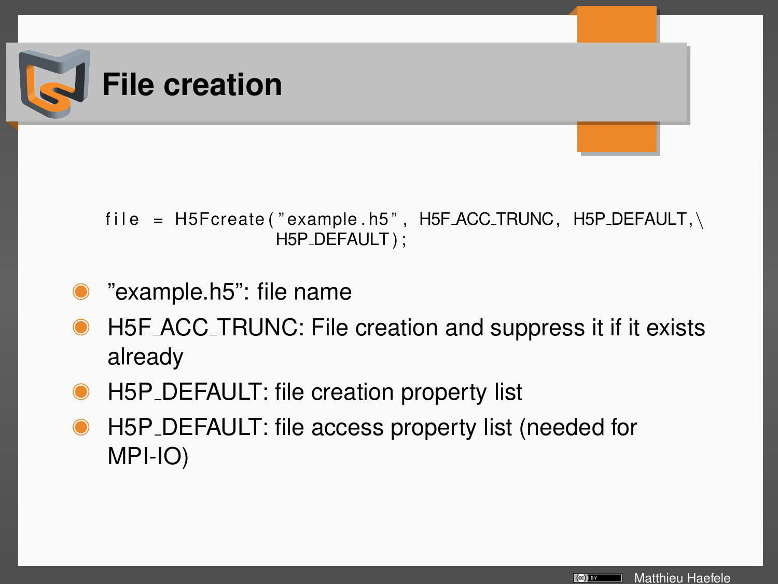

#### file =  $H5F\text{c}$ reate ("example .h5", H5F\_ACC\_TRUNC, H5P\_DEFAULT,\ H5P\_DEFAULT);

- "example.h5": file name
- H5F ACC TRUNC: File creation and suppress it if it exists already
- H5P DEFAULT: file creation property list
- H5P DEFAULT: file access property list (needed for MPI-IO)

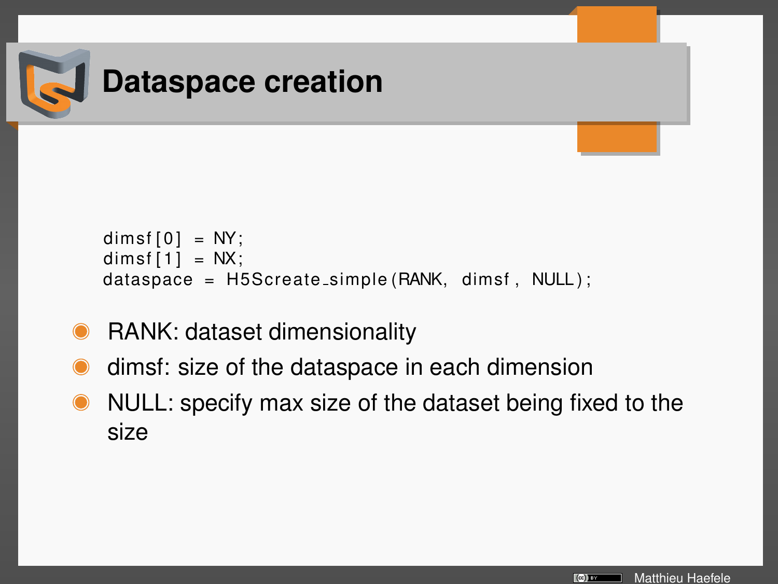

```
dimsf[0] = NY;dimsf[1] = NX;dataspace = H5Screate_simple (RANK, dimsf, NULL);
```
- RANK: dataset dimensionality
- dimsf: size of the dataspace in each dimension
- NULL: specify max size of the dataset being fixed to the size

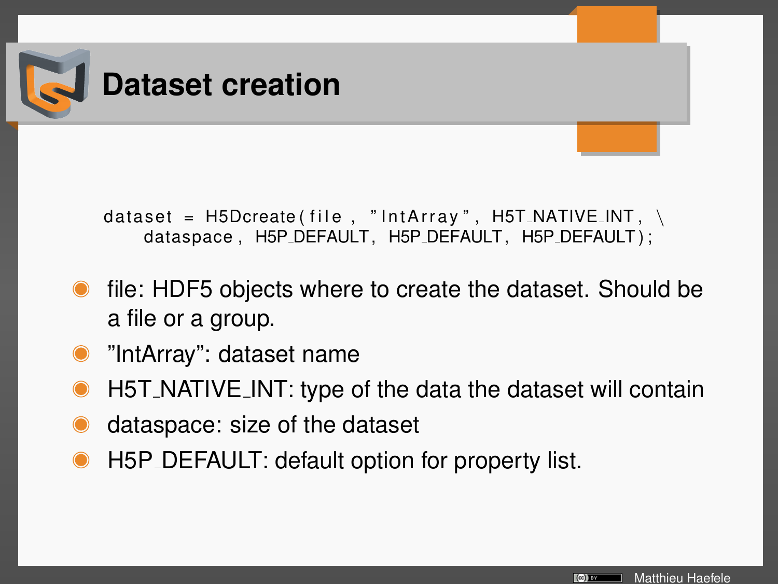

dataset =  $H5D\text{create}$  (file, "IntArray",  $H5T_NATIVE_N$ dataspace, H5P\_DEFAULT, H5P\_DEFAULT, H5P\_DEFAULT);

- file: HDF5 objects where to create the dataset. Should be a file or a group.
- "IntArray": dataset name
- H5T NATIVE INT: type of the data the dataset will contain
- dataspace: size of the dataset
- H5P\_DEFAULT: default option for property list.

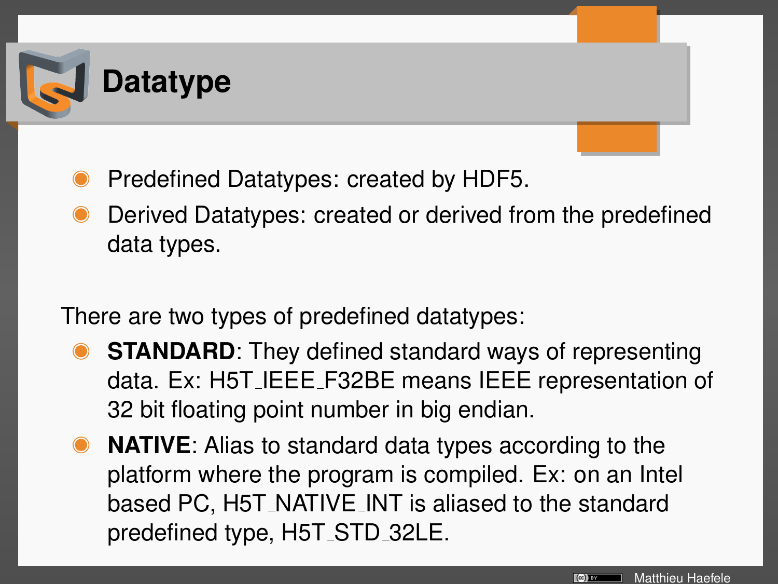

- Predefined Datatypes: created by HDF5.
- Derived Datatypes: created or derived from the predefined data types.

There are two types of predefined datatypes:

- **STANDARD:** They defined standard ways of representing data. Ex: H5T IEEE F32BE means IEEE representation of 32 bit floating point number in big endian.
- **NATIVE**: Alias to standard data types according to the platform where the program is compiled. Ex: on an Intel based PC, H5T\_NATIVE\_INT is aliased to the standard predefined type, H5T STD 32LE.

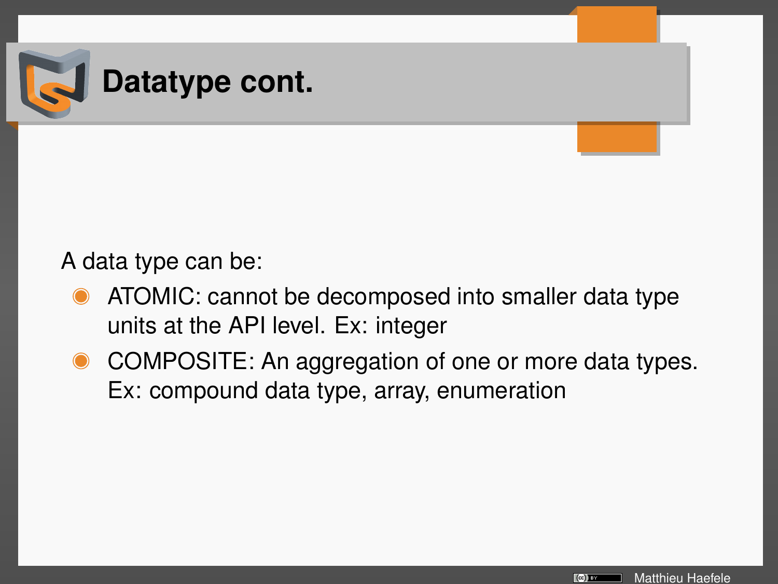

#### A data type can be:

- ATOMIC: cannot be decomposed into smaller data type units at the API level. Ex: integer
- COMPOSITE: An aggregation of one or more data types. Ex: compound data type, array, enumeration

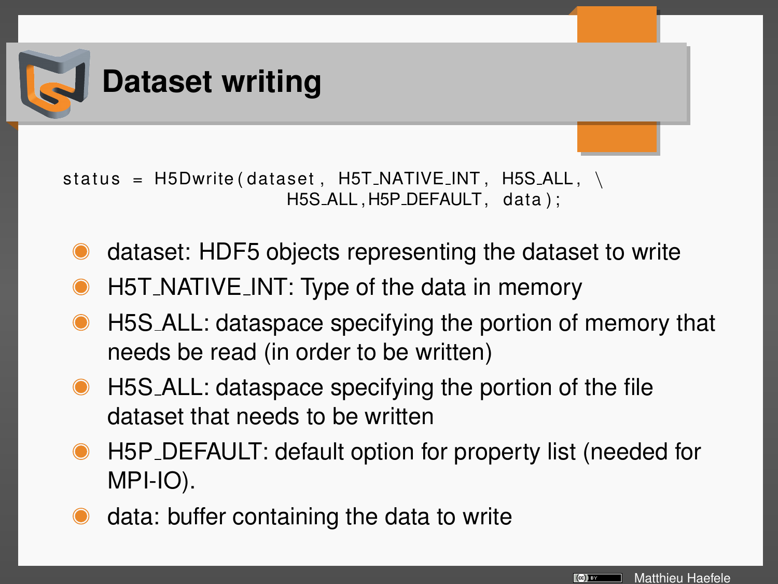

status =  $H5Dwrite$  (dataset,  $H5T_NATIVE_N$ ,  $H5S_1ALL$ ,  $\setminus$ H5S\_ALL, H5P\_DEFAULT, data);

- dataset: HDF5 objects representing the dataset to write
- H5T NATIVE INT: Type of the data in memory
- H5S ALL: dataspace specifying the portion of memory that needs be read (in order to be written)
- H5S ALL: dataspace specifying the portion of the file dataset that needs to be written
- H5P DEFAULT: default option for property list (needed for MPI-IO).
- data: buffer containing the data to write

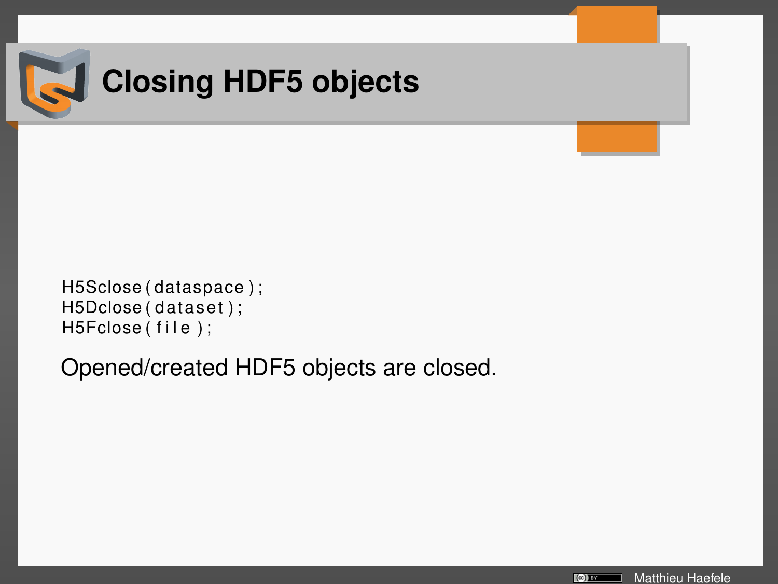

# **Closing HDF5 objects**

```
H5Sclose ( dataspace ) ;
H5Dclose ( dataset ) ;
H5Fclose (file);
```
Opened/created HDF5 objects are closed.

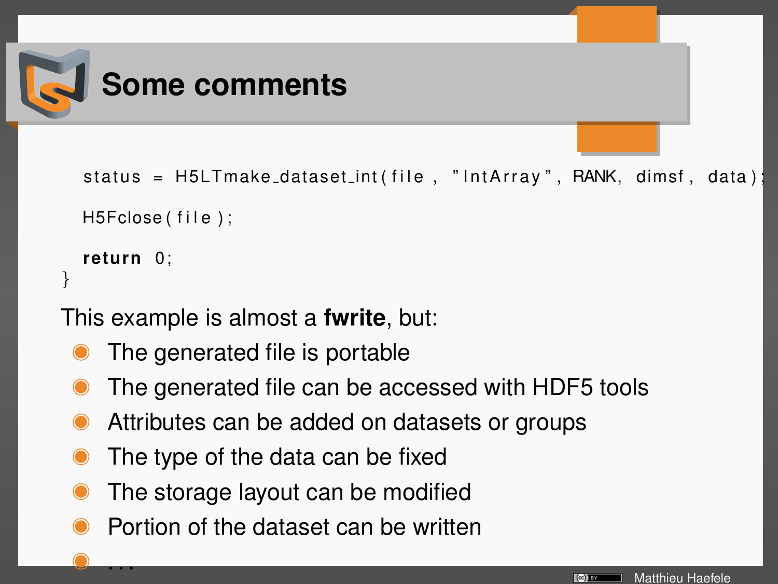

}

. . .

```
status = H5LTmake_dataset_int(file, "IntArray", RANK, dimsf, data);
H5Fclose (file);
return 0;
```
This example is almost a **fwrite**, but:

- The generated file is portable
- The generated file can be accessed with HDF5 tools
- Attributes can be added on datasets or groups
- The type of the data can be fixed
- The storage layout can be modified
- Portion of the dataset can be written

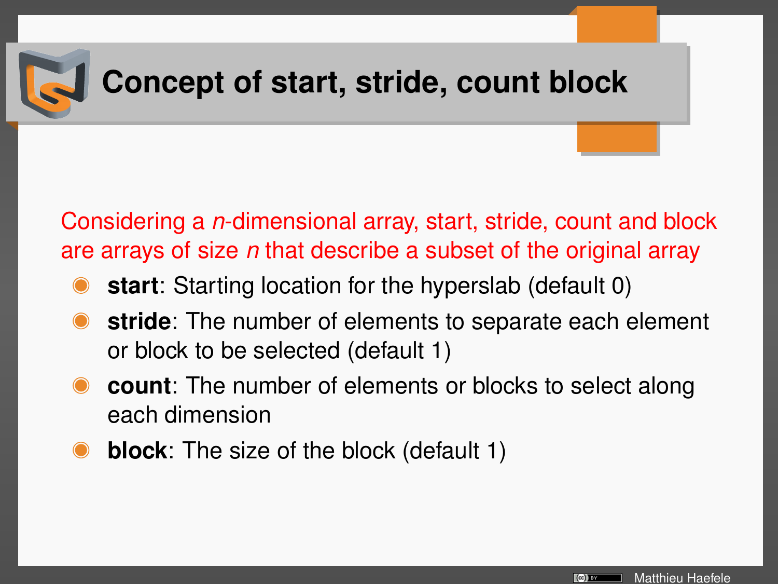

## **Concept of start, stride, count block**

Considering a *n*-dimensional array, start, stride, count and block are arrays of size *n* that describe a subset of the original array

- **start**: Starting location for the hyperslab (default 0)
- **stride**: The number of elements to separate each element or block to be selected (default 1)
- **count**: The number of elements or blocks to select along each dimension
- **block**: The size of the block (default 1)

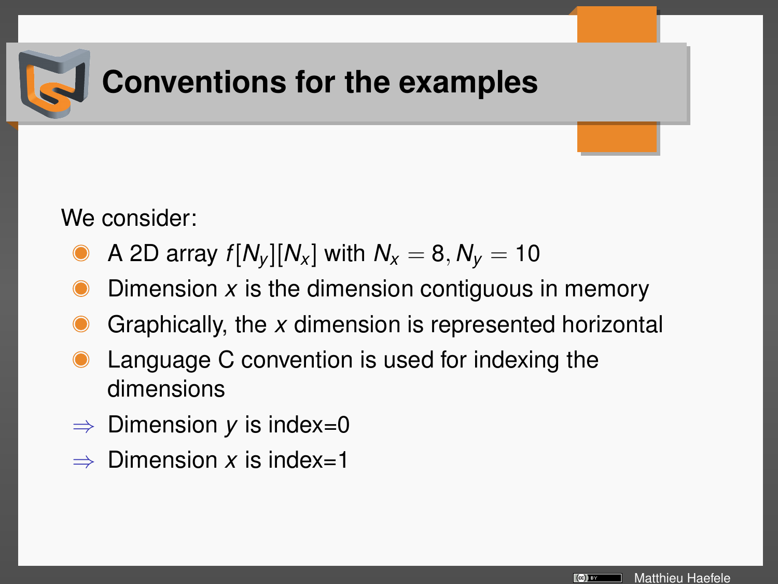

## **Conventions for the examples**

We consider:

- A 2D array  $f[N_v][N_x]$  with  $N_x = 8, N_y = 10$
- Dimension *x* is the dimension contiguous in memory
- Graphically, the *x* dimension is represented horizontal
- Language C convention is used for indexing the dimensions
- $\Rightarrow$  Dimension *y* is index=0
- $\Rightarrow$  Dimension *x* is index=1

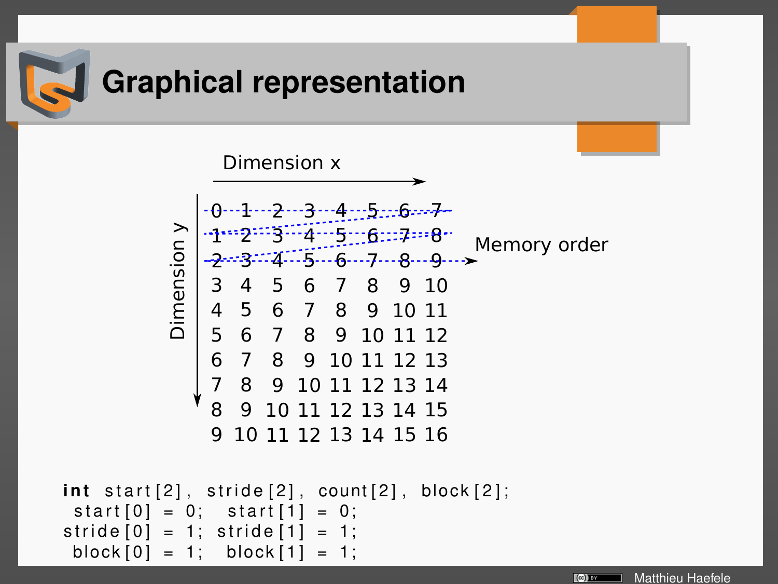

## **Graphical representation**



```
int start [2], stride [2], count [2], block [2];
 start[0] = 0; start [1] = 0;
\text{stride} [0] = 1; \text{stride} [1] = 1;
 block[0] = 1; block[1] = 1;
```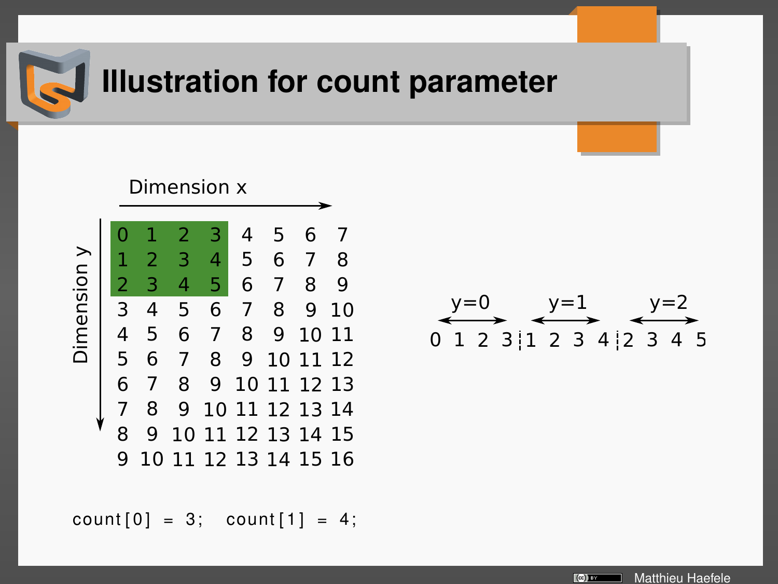

## **Illustration for count parameter**



 $count[0] = 3; count[1] = 4;$ 

0 1 2 3 1 2 3 4 2 3 4 5  $v=0$   $v=1$ 

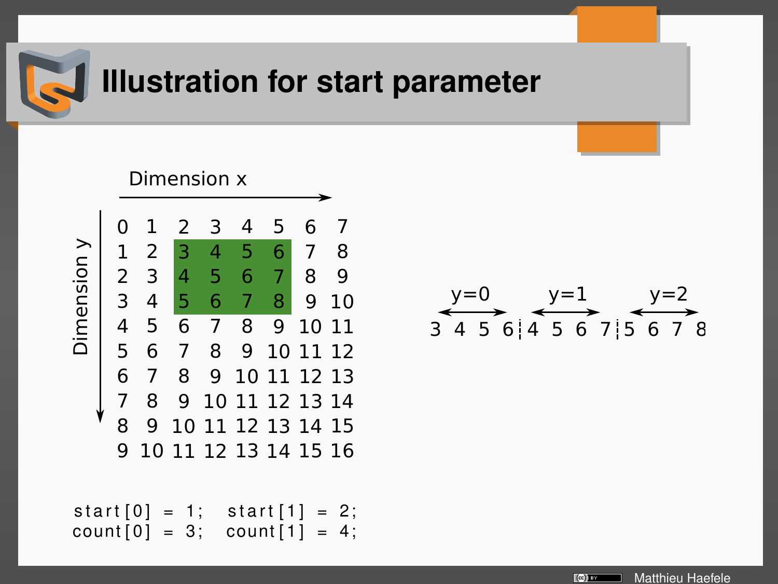

## **Illustration for start parameter**



$$
y=0
$$
  
3 4 5 6 | 4 5 6 7 | 5 6 7 8

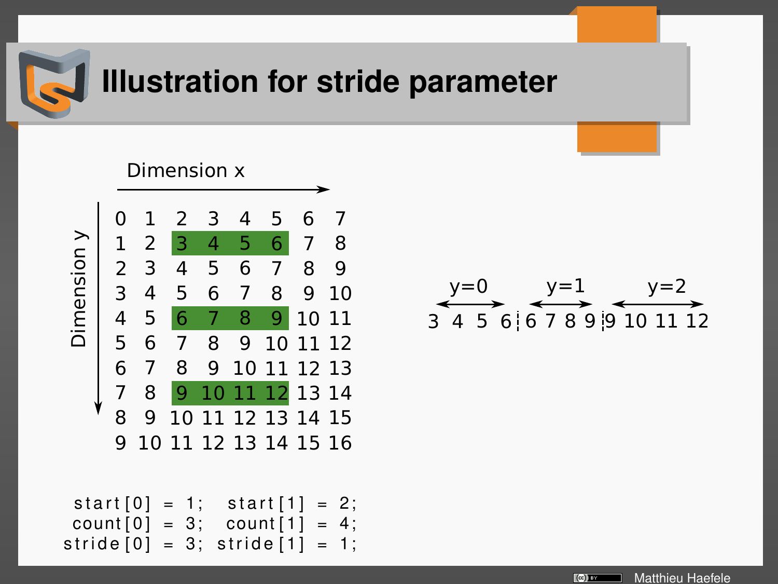

## **Illustration for stride parameter**

#### Dimension x



 $start[0] = 1$ ; start  $[1] = 2$ ;  $count[0] = 3; count[1] = 4;$  $\text{stride}[0] = 3$ ;  $\text{stride}[1] = 1$ ;



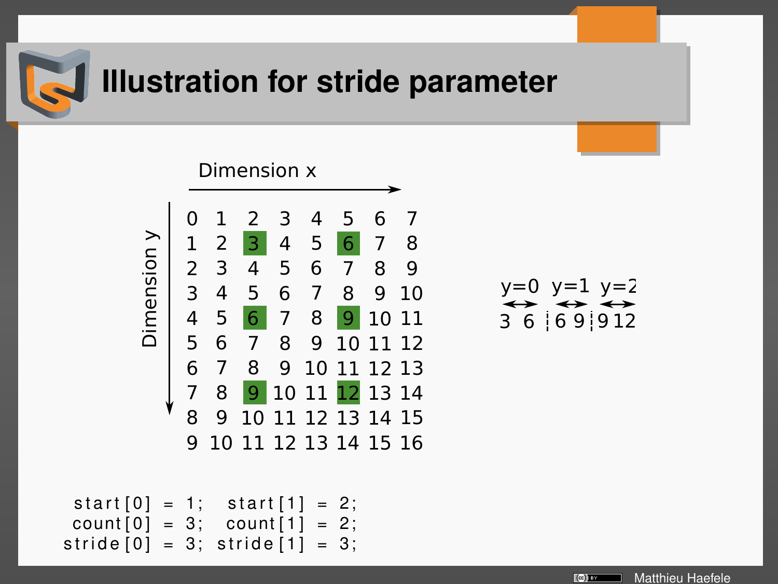

## **Illustration for stride parameter**

 $start[0] = 1$ ; start  $[1] = 2$ ;  $count[0] = 3; count[1] = 2;$  $\text{stride}[0] = 3$ ;  $\text{stride}[1] = 3$ ;

$$
\begin{array}{c}\n y=0 \ y=1 \ y=2 \\
 \hline\n 3 \ 6 \ 6 \ 9 \ 9 \ 12\n \end{array}
$$

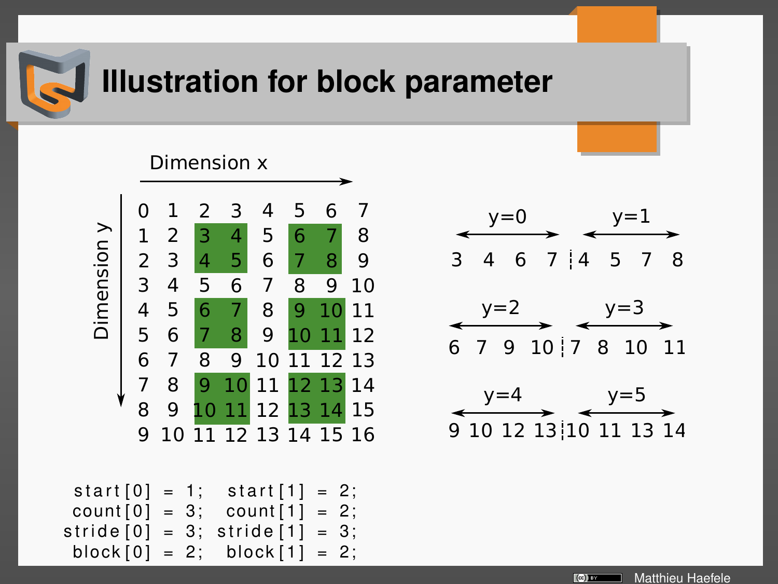

## **Illustration for block parameter**

#### $\Omega$   $\mathcal{L}$  5  $\overline{5}$  7 12 13 14 15 16 13 14 15  $\bullet$  13 14 11 13 | 12 Dimension x Dimension y

```
start[0] = 1; start[1] = 2; count[0] = 3; count[1] = 2;= 3; count [1] = 2;
\text{stride} [0] = 3; \text{stride} [1] = 3;block[0] = 2; block[1] = 2;
```






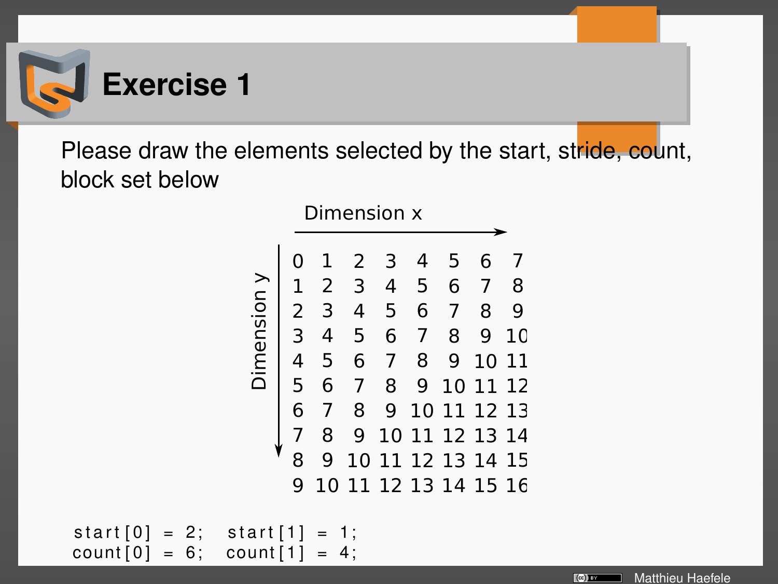

Please draw the elements selected by the start, stride, count, block set below

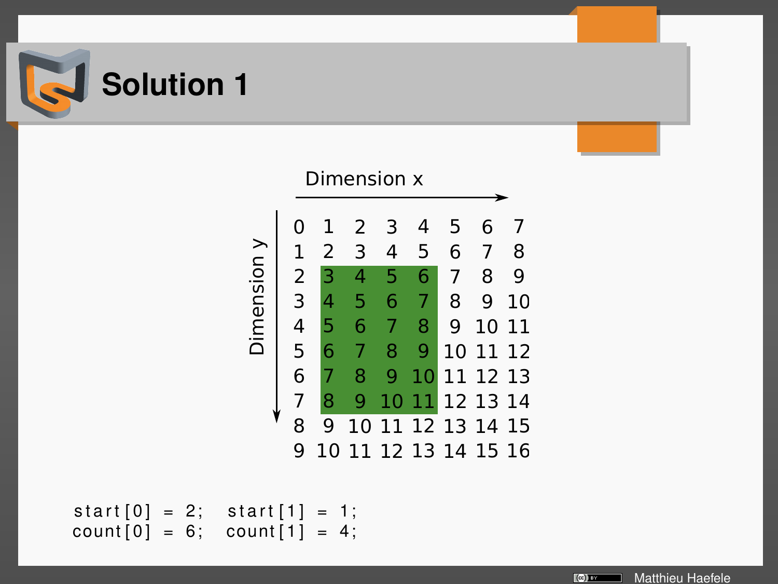



 $start[0] = 2; start[1] = 1;$  $count[0] = 6; count[1] = 4;$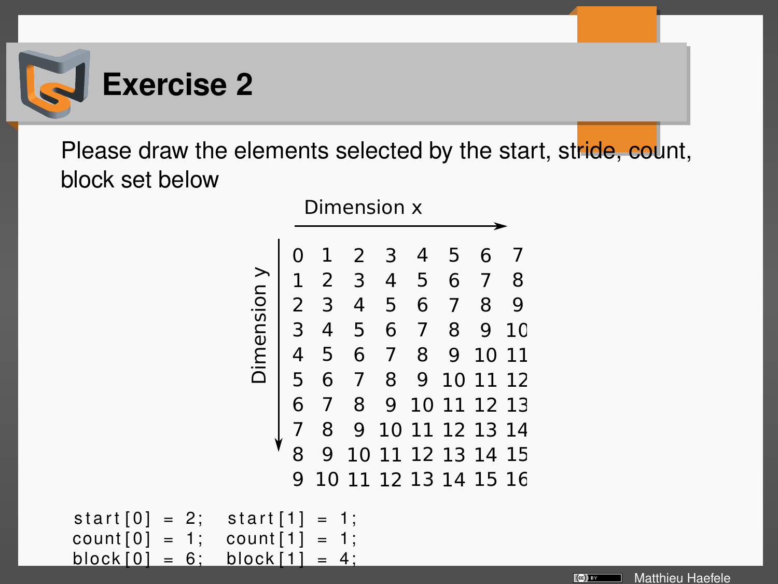

Please draw the elements selected by the start, stride, count, block set below

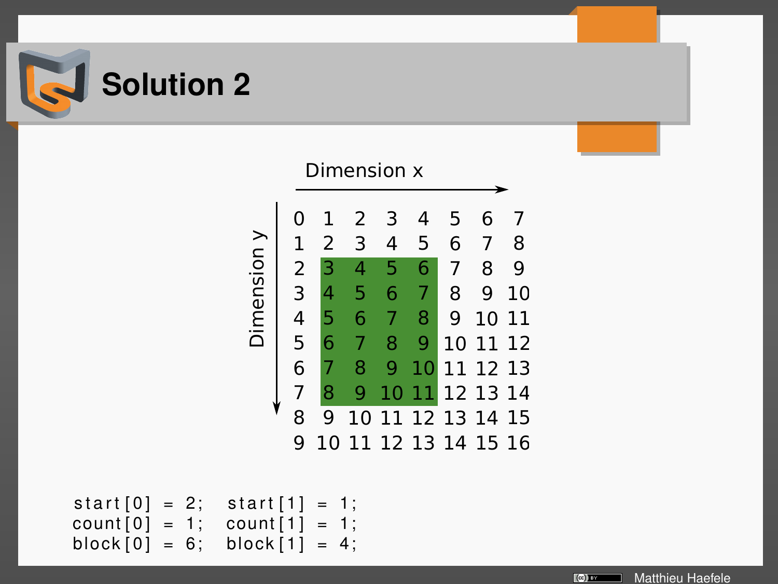



```
start[0] = 2; start[1] = 1;count [0] = 1; count [1] = 1;<br>block [0] = 6; block [1] = 4;
block \begin{bmatrix} 0 \end{bmatrix} = 6;
```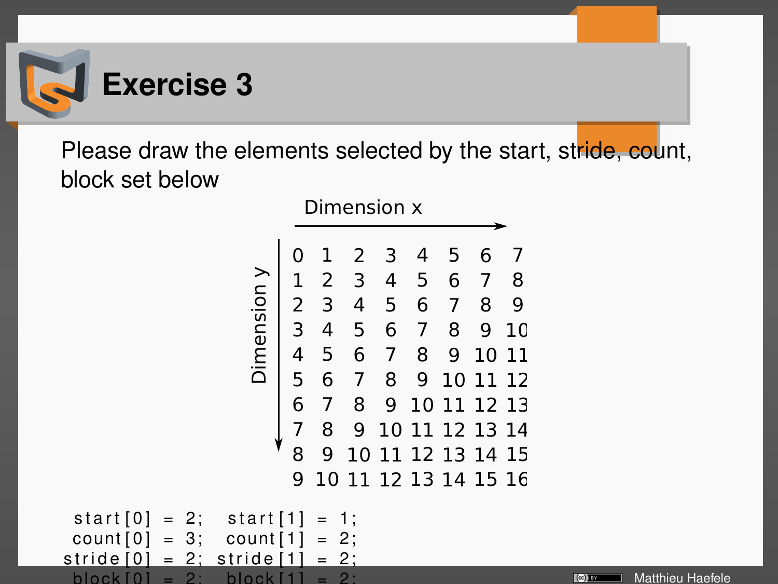

Please draw the elements selected by the start, stride, count, block set below

Matthieu Haefele

 $\lbrack$  (c)] av

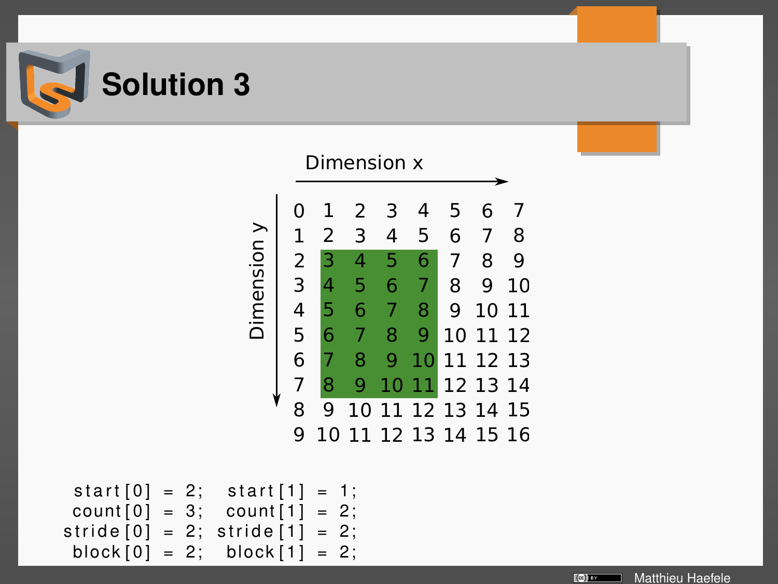



```
start[0] = 2; start[1] = 1;count[0] = 3; count[1] = 2;\text{stride} [0] = 2; \text{stride} [1] = 2;
 block [0] = 2; block [1] = 2;
```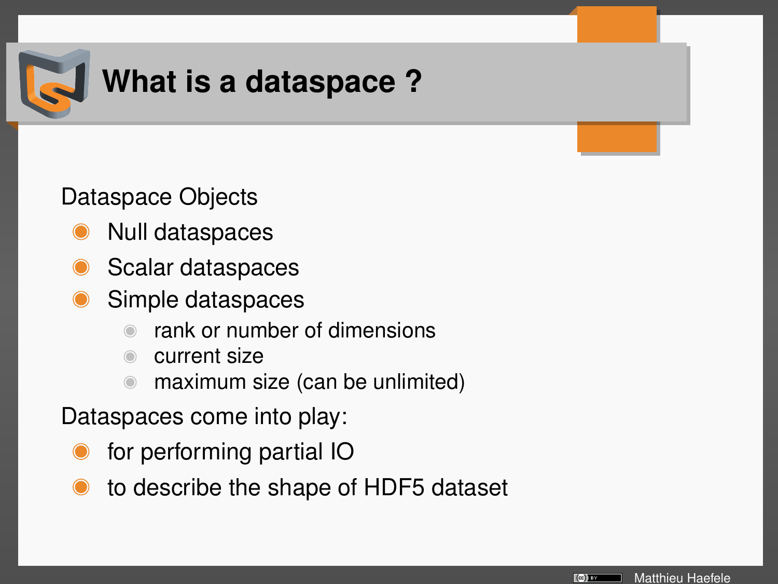

## **What is a dataspace ?**

Dataspace Objects

- Null dataspaces
- Scalar dataspaces
- Simple dataspaces
	- rank or number of dimensions
	- current size
	- maximum size (can be unlimited)

Dataspaces come into play:

- for performing partial IO
- to describe the shape of HDF5 dataset

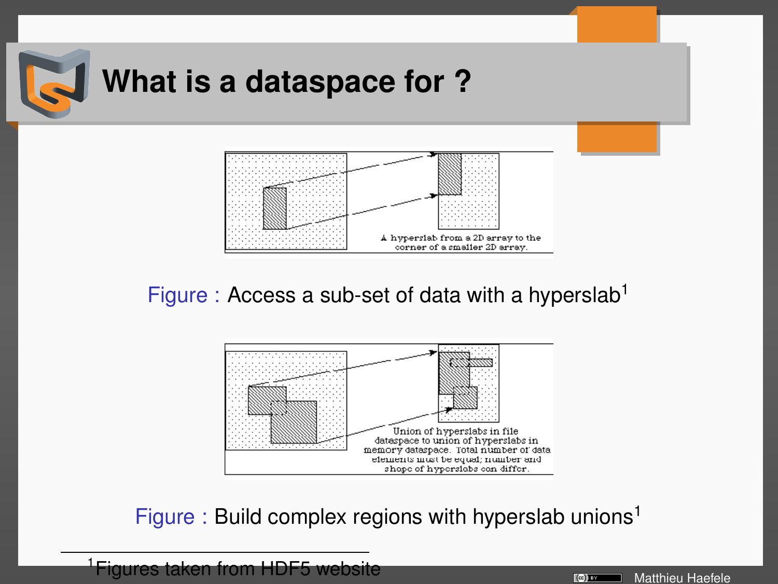

Figure : Access a sub-set of data with a hyperslab<sup>1</sup>

corner of a smaller 2D array.



Figure : Build complex regions with hyperslab unions<sup>1</sup>



<sup>1</sup>Figures taken from HDF5 website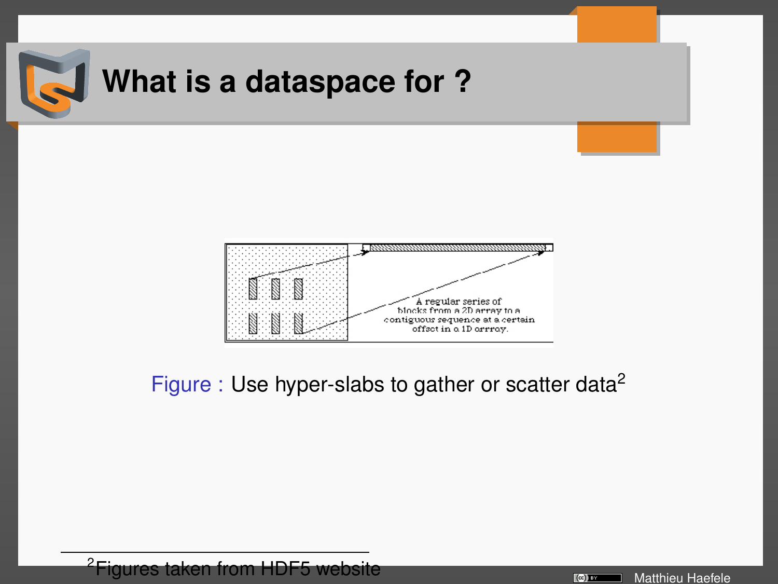

#### Figure : Use hyper-slabs to gather or scatter data<sup>2</sup>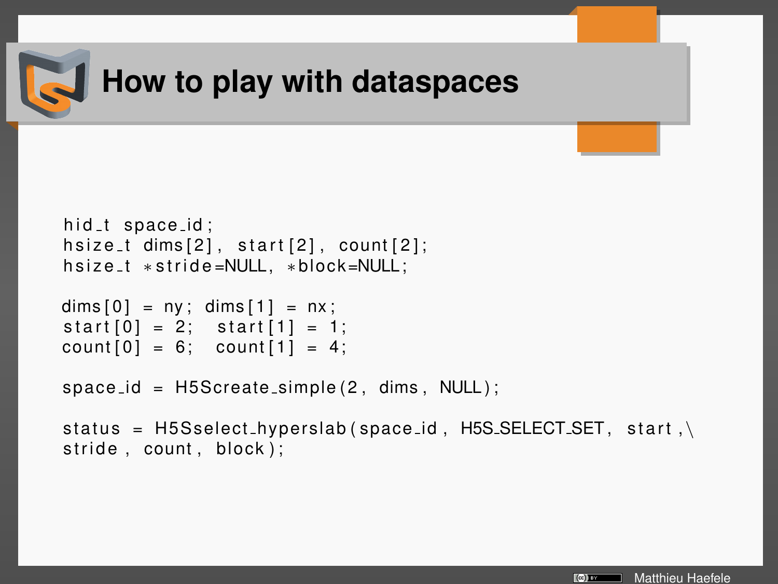

## **How to play with dataspaces**

```
hid t space id;
hsize_t dims[2], start[2], count[2];
h s i z e _t * s t r i d e =NULL, * block=NULL;
dim s[0] = ny; dim s[1] = nx;
start[0] = 2; start[1] = 1;count[0] = 6; count[1] = 4;space_id = H5Screate-simple(2, dims, NULL);status = H5Sselect_hyperslab(space_id, H5S_SELECT_SET, start,\
stricted, count, block;
```
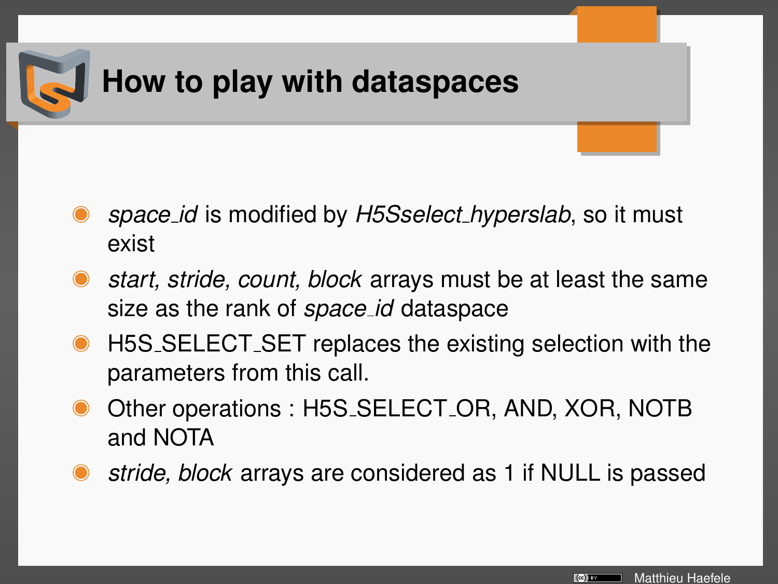

- *space id* is modified by *H5Sselect hyperslab*, so it must exist
- *start, stride, count, block* arrays must be at least the same size as the rank of *space id* dataspace
- H5S SELECT SET replaces the existing selection with the parameters from this call.
- Other operations : H5S SELECT OR, AND, XOR, NOTB and NOTA
- *stride, block* arrays are considered as 1 if NULL is passed

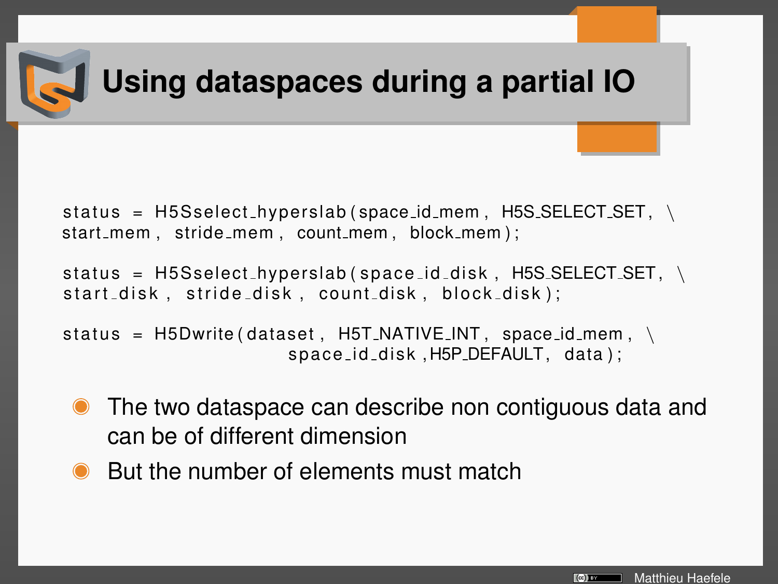

## **Using dataspaces during a partial IO**

status =  $H5Sselect_hyperslab(space_id_mem, H5SSELECT_SET, \n\$ start\_mem, stride\_mem, count\_mem, block\_mem);

status =  $H5Sselect_hyperslab(space_id\_disk, H5S\_SELECT\_SET, \n\$ start\_disk, stride\_disk, count\_disk, block\_disk);

```
status = H5Dwrite (dataset, H5T_NATIVE_N, space id mem, \setminusspace_id_disk, H5P_DEFAULT, data);
```
- The two dataspace can describe non contiguous data and can be of different dimension
- But the number of elements must match

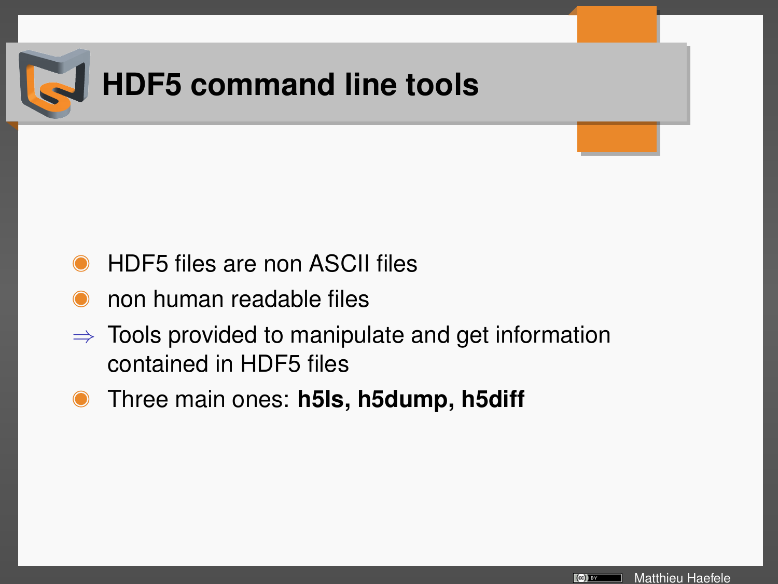

- HDF5 files are non ASCII files
- non human readable files
- $\Rightarrow$  Tools provided to manipulate and get information contained in HDF5 files
- Three main ones: **h5ls, h5dump, h5diff**